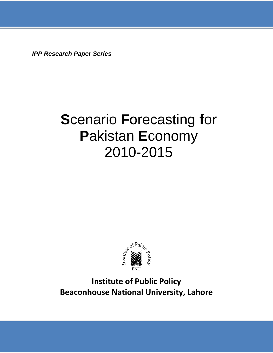*IPP Research Paper Series*

# **S**cenario **F**orecasting **f**or **P**akistan **E**conomy 2010-2015



**Institute of Public Policy Beaconhouse National University, Lahore**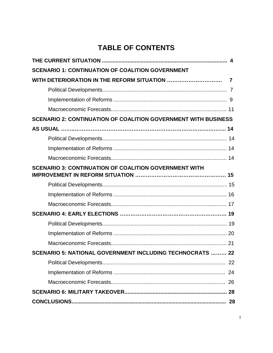## **TABLE OF CONTENTS**

| <b>SCENARIO 1: CONTINUATION OF COALITION GOVERNMENT</b>               |    |
|-----------------------------------------------------------------------|----|
|                                                                       |    |
|                                                                       |    |
|                                                                       |    |
|                                                                       |    |
| <b>SCENARIO 2: CONTINUATION OF COALITION GOVERNMENT WITH BUSINESS</b> |    |
|                                                                       |    |
|                                                                       |    |
|                                                                       |    |
|                                                                       |    |
| <b>SCENARIO 3: CONTINUATION OF COALITION GOVERNMENT WITH</b>          |    |
|                                                                       |    |
|                                                                       |    |
|                                                                       |    |
|                                                                       |    |
|                                                                       |    |
|                                                                       |    |
|                                                                       |    |
| SCENARIO 5: NATIONAL GOVERNMENT INCLUDING TECHNOCRATS  22             |    |
|                                                                       |    |
|                                                                       | 24 |
|                                                                       |    |
|                                                                       |    |
|                                                                       |    |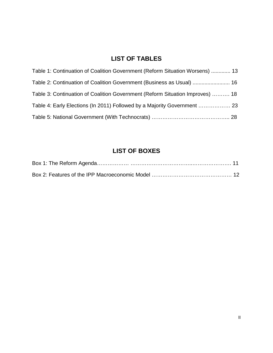## **LIST OF TABLES**

| Table 1: Continuation of Coalition Government (Reform Situation Worsens)  13  |  |
|-------------------------------------------------------------------------------|--|
| Table 2: Continuation of Coalition Government (Business as Usual)  16         |  |
| Table 3: Continuation of Coalition Government (Reform Situation Improves)  18 |  |
| Table 4: Early Elections (In 2011) Followed by a Majority Government  23      |  |
|                                                                               |  |

### **LIST OF BOXES**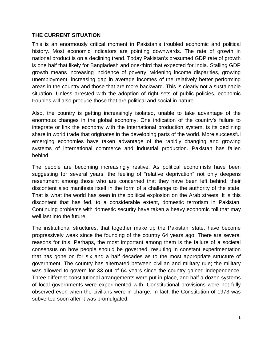#### **THE CURRENT SITUATION**

This is an enormously critical moment in Pakistan's troubled economic and political history. Most economic indicators are pointing downwards. The rate of growth in national product is on a declining trend. Today Pakistan's presumed GDP rate of growth is one half that likely for Bangladesh and one-third that expected for India. Stalling GDP growth means increasing incidence of poverty, widening income disparities, growing unemployment, increasing gap in average incomes of the relatively better performing areas in the country and those that are more backward. This is clearly not a sustainable situation. Unless arrested with the adoption of right sets of public policies, economic troubles will also produce those that are political and social in nature.

Also, the country is getting increasingly isolated, unable to take advantage of the enormous changes in the global economy. One indication of the country's failure to integrate or link the economy with the international production system, is its declining share in world trade that originates in the developing parts of the world. More successful emerging economies have taken advantage of the rapidly changing and growing systems of international commerce and industrial production. Pakistan has fallen behind.

The people are becoming increasingly restive. As political economists have been suggesting for several years, the feeling of "relative deprivation" not only deepens resentment among those who are concerned that they have been left behind, their discontent also manifests itself in the form of a challenge to the authority of the state. That is what the world has seen in the political explosion on the Arab streets. It is this discontent that has fed, to a considerable extent, domestic terrorism in Pakistan. Continuing problems with domestic security have taken a heavy economic toll that may well last into the future.

The institutional structures, that together make up the Pakistani state, have become progressively weak since the founding of the country 64 years ago. There are several reasons for this. Perhaps, the most important among them is the failure of a societal consensus on how people should be governed, resulting in constant experimentation that has gone on for six and a half decades as to the most appropriate structure of government. The country has alternated between civilian and military rule; the military was allowed to govern for 33 out of 64 years since the country gained independence. Three different constitutional arrangements were put in place, and half a dozen systems of local governments were experimented with. Constitutional provisions were not fully observed even when the civilians were in charge. In fact, the Constitution of 1973 was subverted soon after it was promulgated.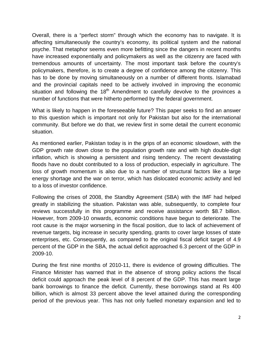Overall, there is a "perfect storm" through which the economy has to navigate. It is affecting simultaneously the country's economy, its political system and the national psyche. That metaphor seems even more befitting since the dangers in recent months have increased exponentially and policymakers as well as the citizenry are faced with tremendous amounts of uncertainty. The most important task before the country's policymakers, therefore, is to create a degree of confidence among the citizenry. This has to be done by moving simultaneously on a number of different fronts. Islamabad and the provincial capitals need to be actively involved in improving the economic situation and following the 18<sup>th</sup> Amendment to carefully devolve to the provinces a number of functions that were hitherto performed by the federal government.

What is likely to happen in the foreseeable future? This paper seeks to find an answer to this question which is important not only for Pakistan but also for the international community. But before we do that, we review first in some detail the current economic situation.

As mentioned earlier, Pakistan today is in the grips of an economic slowdown, with the GDP growth rate down close to the population growth rate and with high double-digit inflation, which is showing a persistent and rising tendency. The recent devastating floods have no doubt contributed to a loss of production, especially in agriculture. The loss of growth momentum is also due to a number of structural factors like a large energy shortage and the war on terror, which has dislocated economic activity and led to a loss of investor confidence.

Following the crises of 2008, the Standby Agreement (SBA) with the IMF had helped greatly in stabilizing the situation. Pakistan was able, subsequently, to complete four reviews successfully in this programme and receive assistance worth \$8.7 billion. However, from 2009-10 onwards, economic conditions have begun to deteriorate. The root cause is the major worsening in the fiscal position, due to lack of achievement of revenue targets, big increase in security spending, grants to cover large losses of state enterprises, etc. Consequently, as compared to the original fiscal deficit target of 4.9 percent of the GDP in the SBA, the actual deficit approached 6.3 percent of the GDP in 2009-10.

During the first nine months of 2010-11, there is evidence of growing difficulties. The Finance Minister has warned that in the absence of strong policy actions the fiscal deficit could approach the peak level of 8 percent of the GDP. This has meant large bank borrowings to finance the deficit. Currently, these borrowings stand at Rs 400 billion, which is almost 33 percent above the level attained during the corresponding period of the previous year. This has not only fuelled monetary expansion and led to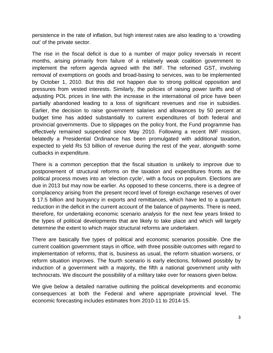persistence in the rate of inflation, but high interest rates are also leading to a 'crowding out' of the private sector.

The rise in the fiscal deficit is due to a number of major policy reversals in recent months, arising primarily from failure of a relatively weak coalition government to implement the reform agenda agreed with the IMF. The reformed GST, involving removal of exemptions on goods and broad-basing to services, was to be implemented by October 1, 2010. But this did not happen due to strong political opposition and pressures from vested interests. Similarly, the policies of raising power tariffs and of adjusting POL prices in line with the increase in the international oil price have been partially abandoned leading to a loss of significant revenues and rise in subsidies. Earlier, the decision to raise government salaries and allowances by 50 percent at budget time has added substantially to current expenditures of both federal and provincial governments. Due to slippages on the policy front, the Fund programme has effectively remained suspended since May 2010. Following a recent IMF mission, belatedly a Presidential Ordinance has been promulgated with additional taxation, expected to yield Rs 53 billion of revenue during the rest of the year, alongwith some cutbacks in expenditure.

There is a common perception that the fiscal situation is unlikely to improve due to postponement of structural reforms on the taxation and expenditures fronts as the political process moves into an 'election cycle', with a focus on populism. Elections are due in 2013 but may now be earlier. As opposed to these concerns, there is a degree of complacency arising from the present record level of foreign exchange reserves of over \$ 17.5 billion and buoyancy in exports and remittances, which have led to a quantum reduction in the deficit in the current account of the balance of payments. There is need, therefore, for undertaking economic scenario analysis for the next few years linked to the types of political developments that are likely to take place and which will largely determine the extent to which major structural reforms are undertaken.

There are basically five types of political and economic scenarios possible. One the current coalition government stays in office, with three possible outcomes with regard to implementation of reforms, that is, business as usual, the reform situation worsens, or reform situation improves. The fourth scenario is early elections, followed possibly by induction of a government with a majority, the fifth a national government unity with technocrats. We discount the possibility of a military take over for reasons given below.

We give below a detailed narrative outlining the political developments and economic consequences at both the Federal and where appropriate provincial level. The economic forecasting includes estimates from 2010-11 to 2014-15.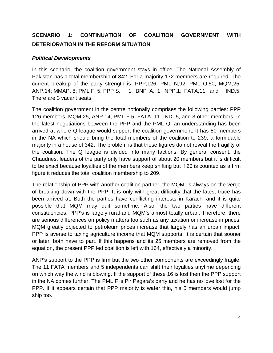## **SCENARIO 1: CONTINUATION OF COALITION GOVERNMENT WITH DETERIORATION IN THE REFORM SITUATION**

#### *Political Developments*

In this scenario, the coalition government stays in office. The National Assembly of Pakistan has a total membership of 342. For a majority 172 members are required. The current breakup of the party strength is :PPP,126; PML N,92; PML Q,50; MQM,25; ANP,14; MMAP, 8; PML F, 5; PPP S, 1; BNP A, 1; NPP,1; FATA,11, and ; IND,5. There are 3 vacant seats.

The coalition government in the centre notionally comprises the following parties: PPP 126 members, MQM 25, ANP 14, PML F 5, FATA 11, IND 5, and 3 other members. In the latest negotiations between the PPP and the PML Q, an understanding has been arrived at where Q league would support the coalition government. It has 50 members in the NA which should bring the total members of the coalition to 239; a formidable majority in a house of 342. The problem is that these figures do not reveal the fragility of the coalition. The Q league is divided into many factions. By general consent, the Chaudries, leaders of the party only have support of about 20 members but it is difficult to be exact because loyalties of the members keep shifting but if 20 is counted as a firm figure it reduces the total coalition membership to 209.

The relationship of PPP with another coalition partner, the MQM, is always on the verge of breaking down with the PPP. It is only with great difficulty that the latest truce has been arrived at. Both the parties have conflicting interests in Karachi and it is quite possible that MQM may quit sometime. Also, the two parties have different constituencies. PPP's is largely rural and MQM's almost totally urban. Therefore, there are serious differences on policy matters too such as any taxation or increase in prices. MQM greatly objected to petroleum prices increase that largely has an urban impact. PPP is averse to taxing agriculture income that MQM supports. It is certain that sooner or later, both have to part. If this happens and its 25 members are removed from the equation, the present PPP led coalition is left with 164, effectively a minority.

ANP's support to the PPP is firm but the two other components are exceedingly fragile. The 11 FATA members and 5 independents can shift their loyalties anytime depending on which way the wind is blowing. If the support of these 16 is lost then the PPP support in the NA comes further. The PML F is Pir Pagara's party and he has no love lost for the PPP. If it appears certain that PPP majority is wafer thin, his 5 members would jump ship too.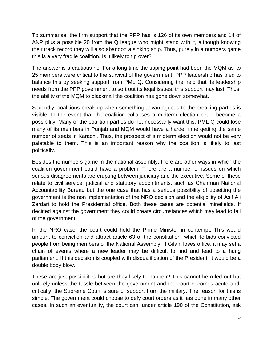To summarise, the firm support that the PPP has is 126 of its own members and 14 of ANP plus a possible 20 from the Q league who might stand with it, although knowing their track record they will also abandon a sinking ship. Thus, purely in a numbers game this is a very fragile coalition. Is it likely to tip over?

The answer is a cautious no. For a long time the tipping point had been the MQM as its 25 members were critical to the survival of the government. PPP leadership has tried to balance this by seeking support from PML Q. Considering the help that its leadership needs from the PPP government to sort out its legal issues, this support may last. Thus, the ability of the MQM to blackmail the coalition has gone down somewhat.

Secondly, coalitions break up when something advantageous to the breaking parties is visible. In the event that the coalition collapses a midterm election could become a possibility. Many of the coalition parties do not necessarily want this. PML Q could lose many of its members in Punjab and MQM would have a harder time getting the same number of seats in Karachi. Thus, the prospect of a midterm election would not be very palatable to them. This is an important reason why the coalition is likely to last politically.

Besides the numbers game in the national assembly, there are other ways in which the coalition government could have a problem. There are a number of issues on which serious disagreements are erupting between judiciary and the executive. Some of these relate to civil service, judicial and statutory appointments, such as Chairman National Accountability Bureau but the one case that has a serious possibility of upsetting the government is the non implementation of the NRO decision and the eligibility of Asif Ali Zardari to hold the Presidential office. Both these cases are potential minefields. If decided against the government they could create circumstances which may lead to fall of the government.

In the NRO case, the court could hold the Prime Minister in contempt. This would amount to conviction and attract article 63 of the constitution, which forbids convicted people from being members of the National Assembly. If Gilani loses office, it may set a chain of events where a new leader may be difficult to find and lead to a hung parliament. If this decision is coupled with disqualification of the President, it would be a double body blow.

These are just possibilities but are they likely to happen? This cannot be ruled out but unlikely unless the tussle between the government and the court becomes acute and, critically, the Supreme Court is sure of support from the military. The reason for this is simple. The government could choose to defy court orders as it has done in many other cases. In such an eventuality, the court can, under article 190 of the Constitution, ask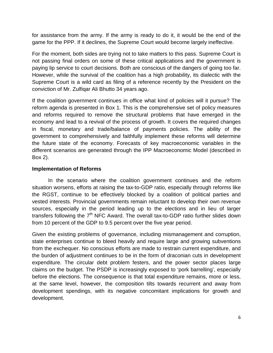for assistance from the army. If the army is ready to do it, it would be the end of the game for the PPP. If it declines, the Supreme Court would become largely ineffective.

For the moment, both sides are trying not to take matters to this pass. Supreme Court is not passing final orders on some of these critical applications and the government is paying lip service to court decisions. Both are conscious of the dangers of going too far. However, while the survival of the coalition has a high probability, its dialectic with the Supreme Court is a wild card as filing of a reference recently by the President on the conviction of Mr. Zulfiqar Ali Bhutto 34 years ago.

If the coalition government continues in office what kind of policies will it pursue? The reform agenda is presented in Box 1. This is the comprehensive set of policy measures and reforms required to remove the structural problems that have emerged in the economy and lead to a revival of the process of growth. It covers the required changes in fiscal, monetary and trade/balance of payments policies. The ability of the government to comprehensively and faithfully implement these reforms will determine the future state of the economy. Forecasts of key macroeconomic variables in the different scenarios are generated through the IPP Macroeconomic Model (described in Box 2).

#### **Implementation of Reforms**

In the scenario where the coalition government continues and the reform situation worsens, efforts at raising the tax-to-GDP ratio, especially through reforms like the RGST, continue to be effectively blocked by a coalition of political parties and vested interests. Provincial governments remain reluctant to develop their own revenue sources, especially in the period leading up to the elections and in lieu of larger transfers following the  $7<sup>th</sup>$  NFC Award. The overall tax-to-GDP ratio further slides down from 10 percent of the GDP to 9.5 percent over the five year period.

Given the existing problems of governance, including mismanagement and corruption, state enterprises continue to bleed heavily and require large and growing subventions from the exchequer. No conscious efforts are made to restrain current expenditure, and the burden of adjustment continues to be in the form of draconian cuts in development expenditure. The circular debt problem festers, and the power sector places large claims on the budget. The PSDP is increasingly exposed to 'pork barrelling', especially before the elections. The consequence is that total expenditure remains, more or less, at the same level, however, the composition tilts towards recurrent and away from development spendings, with its negative concomitant implications for growth and development.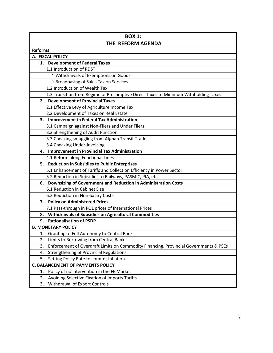| <b>BOX 1:</b>                                                                               |
|---------------------------------------------------------------------------------------------|
| THE REFORM AGENDA                                                                           |
| <b>Reforms</b>                                                                              |
| A. FISCAL POLICY                                                                            |
| 1. Development of Federal Taxes                                                             |
| 1.1 Introduction of RDST                                                                    |
| ~ Withdrawals of Exemptions on Goods                                                        |
| ~ Broadbasing of Sales Tax on Services                                                      |
| 1.2 Introduction of Wealth Tax                                                              |
| 1.3 Transition from Regime of Presumptive Direct Taxes to Minimum Withholding Taxes         |
| 2. Development of Provincial Taxes                                                          |
| 2.1 Effective Levy of Agriculture Income Tax                                                |
| 2.2 Development of Taxes on Real Estate                                                     |
| <b>Improvement in Federal Tax Administration</b><br>3.                                      |
| 3.1 Campaign against Non-Filers and Under Filers                                            |
| 3.2 Strengthening of Audit Function                                                         |
| 3.3 Checking smuggling from Afghan Transit Trade                                            |
| 3.4 Checking Under-Invoicing                                                                |
| <b>Improvement in Provincial Tax Administration</b><br>4.                                   |
| 4.1 Reform along Functional Lines                                                           |
| <b>Reduction in Subsidies to Public Enterprises</b><br>5.                                   |
| 5.1 Enhancement of Tariffs and Collection Efficiency in Power Sector                        |
| 5.2 Reduction in Subsidies to Railways, PASMIC, PIA, etc.                                   |
| Downsizing of Government and Reduction in Administration Costs<br>6.                        |
| 6.1 Reduction in Cabinet Size                                                               |
| 6.2 Reduction in Non-Salary Costs                                                           |
| 7. Policy on Administered Prices                                                            |
| 7.1 Pass-through in POL prices of International Prices                                      |
| <b>Withdrawals of Subsidies on Agricultural Commodities</b><br>8.                           |
| <b>Rationalisation of PSDP</b><br>9.                                                        |
| <b>B. MONETARY POLICY</b>                                                                   |
| Granting of Full Autonomy to Central Bank<br>1.                                             |
| 2.<br>Limits to Borrowing from Central Bank                                                 |
| Enforcement of Overdraft Limits on Commodity Financing, Provincial Governments & PSEs<br>3. |
| <b>Strengthening of Provincial Regulations</b><br>4.                                        |
| 5.<br>Setting Policy Rate to counter inflation                                              |
| <b>C. BALANCEMENT OF PAYMENTS POLICY</b>                                                    |
| Policy of no intervention in the FE Market<br>1.                                            |
| 2.<br>Avoiding Selective Fixation of Imports Tariffs                                        |
| 3.<br>Withdrawal of Export Controls                                                         |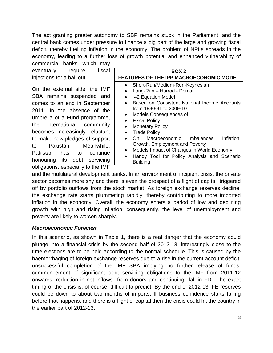The act granting greater autonomy to SBP remains stuck in the Parliament, and the central bank comes under pressure to finance a big part of the large and growing fiscal deficit, thereby fuelling inflation in the economy. The problem of NPLs spreads in the economy, leading to a further loss of growth potential and enhanced vulnerability of

commercial banks, which may eventually require fiscal injections for a bail out.

On the external side, the IMF SBA remains suspended and comes to an end in September 2011. In the absence of the umbrella of a Fund programme, the international community becomes increasingly reluctant to make new pledges of support to Pakistan. Meanwhile, Pakistan has to continue honouring its debt servicing obligations, especially to the IMF

| BOX 2                                                          |
|----------------------------------------------------------------|
| <b>FEATURES OF THE IPP MACROECONOMIC MODEL</b>                 |
| Short-Run/Medium-Run-Keynesian<br>$\bullet$                    |
| Long-Run - Harrod - Domar                                      |
| 42 Equation Model                                              |
| Based on Consistent National Income Accounts                   |
| from 1980-81 to 2009-10                                        |
| Models Consequences of                                         |
| <b>Fiscal Policy</b>                                           |
| <b>Monetary Policy</b>                                         |
| <b>Trade Policy</b>                                            |
| On Macroeconomic Imbalances, Inflation,                        |
| Growth, Employment and Poverty                                 |
| Models Impact of Changes in World Economy                      |
| Handy Tool for Policy Analysis and Scenario<br><b>Building</b> |

and the multilateral development banks. In an environment of incipient crisis, the private sector becomes more shy and there is even the prospect of a flight of capital, triggered off by portfolio outflows from the stock market. As foreign exchange reserves decline, the exchange rate starts plummeting rapidly, thereby contributing to more imported inflation in the economy. Overall, the economy enters a period of low and declining growth with high and rising inflation; consequently, the level of unemployment and poverty are likely to worsen sharply.

#### *Macroeconomic Forecast*

In this scenario, as shown in Table 1, there is a real danger that the economy could plunge into a financial crisis by the second half of 2012-13, interestingly close to the time elections are to be held according to the normal schedule. This is caused by the haemorrhaging of foreign exchange reserves due to a rise in the current account deficit, unsuccessful completion of the IMF SBA implying no further release of funds, commencement of significant debt servicing obligations to the IMF from 2011-12 onwards, reduction in net inflows from donors and continuing fall in FDI. The exact timing of the crisis is, of course, difficult to predict. By the end of 2012-13, FE reserves could be down to about two months of imports. If business confidence starts falling before that happens, and there is a flight of capital then the crisis could hit the country in the earlier part of 2012-13.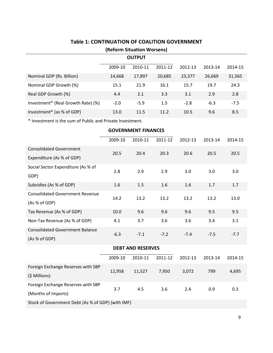| (Reform Situation Worsens)         |         |               |         |         |         |         |
|------------------------------------|---------|---------------|---------|---------|---------|---------|
|                                    |         | <b>OUTPUT</b> |         |         |         |         |
|                                    | 2009-10 | 2010-11       | 2011-12 | 2012-13 | 2013-14 | 2014-15 |
| Nominal GDP (Rs. Billion)          | 14,668  | 17,897        | 20,685  | 23,377  | 26,669  | 31,565  |
| Nominal GDP Growth (%)             | 15.1    | 21.9          | 16.1    | 15.7    | 19.7    | 24.3    |
| Real GDP Growth (%)                | 4.4     | 2.1           | 3.3     | 3.1     | 2.9     | 2.8     |
| Investment* (Real Growth Rate) (%) | $-2.0$  | $-5.9$        | 1.5     | $-2.8$  | $-6.3$  | $-7.5$  |
| Investment* (as % of GDP)          | 13.0    | 11.5          | 11.2    | 10.5    | 9.6     | 8.5     |

#### **Table 1: CONTINUATION OF COALITION GOVERNMENT**

\* Investment is the sum of Public and Private Investment.

|                                                   | <b>GOVERNMENT FINANCES</b> |                          |         |         |         |         |
|---------------------------------------------------|----------------------------|--------------------------|---------|---------|---------|---------|
|                                                   | 2009-10                    | 2010-11                  | 2011-12 | 2012-13 | 2013-14 | 2014-15 |
| <b>Consolidated Government</b>                    | 20.5                       | 20.4                     | 20.3    | 20.6    | 20.5    | 20.5    |
| Expenditure (As % of GDP)                         |                            |                          |         |         |         |         |
| Social Sector Expenditure (As % of                | 2.8                        | 2.9                      | 2.9     | 3.0     | 3.0     | 3.0     |
| GDP)                                              |                            |                          |         |         |         |         |
| Subsidies (As % of GDP)                           | 1.6                        | 1.5                      | 1.6     | 1.6     | 1.7     | 1.7     |
| <b>Consolidated Government Revenue</b>            | 14.2                       | 13.2                     | 13.2    | 13.2    | 13.2    | 13.0    |
| (As % of GDP)                                     |                            |                          |         |         |         |         |
| Tax Revenue (As % of GDP)                         | 10.0                       | 9.6                      | 9.6     | 9.6     | 9.5     | 9.5     |
| Non-Tax Revenue (As % of GDP)                     | 4.1                        | 3.7                      | 3.6     | 3.6     | 3.4     | 3.1     |
| <b>Consolidated Government Balance</b>            | $-6.3$                     | $-7.1$                   | $-7.2$  | $-7.4$  | $-7.5$  | $-7.7$  |
| (As % of GDP)                                     |                            |                          |         |         |         |         |
|                                                   |                            | <b>DEBT AND RESERVES</b> |         |         |         |         |
|                                                   | 2009-10                    | 2010-11                  | 2011-12 | 2012-13 | 2013-14 | 2014-15 |
| Foreign Exchange Reserves with SBP                | 12,958                     | 11,527                   | 7,950   | 3,072   | 799     | 4,695   |
| (\$ Millions)                                     |                            |                          |         |         |         |         |
| Foreign Exchange Reserves with SBP                | 3.7                        | 4.5                      | 3.6     | 2.4     | 0.9     | 0.3     |
| (Months of Imports)                               |                            |                          |         |         |         |         |
| Stock of Government Debt (As % of GDP) (with IMF) |                            |                          |         |         |         |         |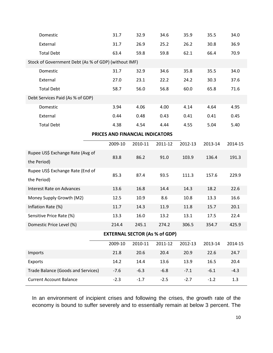| Domestic                                             | 31.7    | 32.9    | 34.6    | 35.9    | 35.5    | 34.0    |  |  |
|------------------------------------------------------|---------|---------|---------|---------|---------|---------|--|--|
| External                                             | 31.7    | 26.9    | 25.2    | 26.2    | 30.8    | 36.9    |  |  |
| <b>Total Debt</b>                                    | 63.4    | 59.8    | 59.8    | 62.1    | 66.4    | 70.9    |  |  |
| Stock of Government Debt (As % of GDP) (without IMF) |         |         |         |         |         |         |  |  |
| Domestic                                             | 31.7    | 32.9    | 34.6    | 35.8    | 35.5    | 34.0    |  |  |
| External                                             | 27.0    | 23.1    | 22.2    | 24.2    | 30.3    | 37.6    |  |  |
| <b>Total Debt</b>                                    | 58.7    | 56.0    | 56.8    | 60.0    | 65.8    | 71.6    |  |  |
| Debt Services Paid (As % of GDP)                     |         |         |         |         |         |         |  |  |
| Domestic                                             | 3.94    | 4.06    | 4.00    | 4.14    | 4.64    | 4.95    |  |  |
| External                                             | 0.44    | 0.48    | 0.43    | 0.41    | 0.41    | 0.45    |  |  |
| <b>Total Debt</b>                                    | 4.38    | 4.54    | 4.44    | 4.55    | 5.04    | 5.40    |  |  |
| PRICES AND FINANCIAL INDICATORS                      |         |         |         |         |         |         |  |  |
|                                                      | 2009-10 | 2010-11 | 2011-12 | 2012-13 | 2013-14 | 2014-15 |  |  |
| Rupee US\$ Exchange Rate (Avg of                     | 83.8    | 86.2    | 91.0    | 103.9   | 136.4   | 191.3   |  |  |
| the Period)                                          |         |         |         |         |         |         |  |  |
| Rupee US\$ Exchange Rate (End of                     | 85.3    | 87.4    | 93.5    | 111.3   | 157.6   | 229.9   |  |  |
| the Period)                                          |         |         |         |         |         |         |  |  |
| <b>Interest Rate on Advances</b>                     | 13.6    | 16.8    | 14.4    | 14.3    | 18.2    | 22.6    |  |  |
| Money Supply Growth (M2)                             | 12.5    | 10.9    | 8.6     | 10.8    | 13.3    | 16.6    |  |  |
| Inflation Rate (%)                                   | 11.7    | 14.3    | 11.9    | 11.8    | 15.7    | 20.1    |  |  |
| Sensitive Price Rate (%)                             | 13.3    | 16.0    | 13.2    | 13.1    | 17.5    | 22.4    |  |  |
| Domestic Price Level (%)                             | 214.4   | 245.1   | 274.2   | 306.5   | 354.7   | 425.9   |  |  |
| <b>EXTERNAL SECTOR (As % of GDP)</b>                 |         |         |         |         |         |         |  |  |
|                                                      | 2009-10 | 2010-11 | 2011-12 | 2012-13 | 2013-14 | 2014-15 |  |  |
| Imports                                              | 21.8    | 20.6    | 20.4    | 20.9    | 22.6    | 24.7    |  |  |
| Exports                                              | 14.2    | 14.4    | 13.6    | 13.9    | 16.5    | 20.4    |  |  |
| Trade Balance (Goods and Services)                   | $-7.6$  | $-6.3$  | $-6.8$  | $-7.1$  | $-6.1$  | $-4.3$  |  |  |
| <b>Current Account Balance</b>                       | $-2.3$  | $-1.7$  | $-2.5$  | $-2.7$  | $-1.2$  | 1.3     |  |  |

In an environment of incipient crises and following the crises, the growth rate of the economy is bound to suffer severely and to essentially remain at below 3 percent. The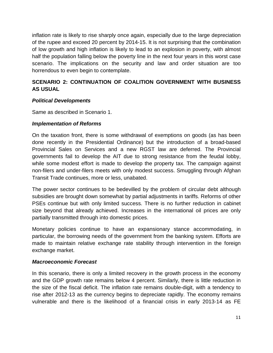inflation rate is likely to rise sharply once again, especially due to the large depreciation of the rupee and exceed 20 percent by 2014-15. It is not surprising that the combination of low growth and high inflation is likely to lead to an explosion in poverty, with almost half the population falling below the poverty line in the next four years in this worst case scenario. The implications on the security and law and order situation are too horrendous to even begin to contemplate.

#### **SCENARIO 2: CONTINUATION OF COALITION GOVERNMENT WITH BUSINESS AS USUAL**

#### *Political Developments*

Same as described in Scenario 1.

#### *Implementation of Reforms*

On the taxation front, there is some withdrawal of exemptions on goods (as has been done recently in the Presidential Ordinance) but the introduction of a broad-based Provincial Sales on Services and a new RGST law are deferred. The Provincial governments fail to develop the AIT due to strong resistance from the feudal lobby, while some modest effort is made to develop the property tax. The campaign against non-filers and under-filers meets with only modest success. Smuggling through Afghan Transit Trade continues, more or less, unabated.

The power sector continues to be bedevilled by the problem of circular debt although subsidies are brought down somewhat by partial adjustments in tariffs. Reforms of other PSEs continue but with only limited success. There is no further reduction in cabinet size beyond that already achieved. Increases in the international oil prices are only partially transmitted through into domestic prices.

Monetary policies continue to have an expansionary stance accommodating, in particular, the borrowing needs of the government from the banking system. Efforts are made to maintain relative exchange rate stability through intervention in the foreign exchange market.

#### *Macroeconomic Forecast*

In this scenario, there is only a limited recovery in the growth process in the economy and the GDP growth rate remains below 4 percent. Similarly, there is little reduction in the size of the fiscal deficit. The inflation rate remains double-digit, with a tendency to rise after 2012-13 as the currency begins to depreciate rapidly. The economy remains vulnerable and there is the likelihood of a financial crisis in early 2013-14 as FE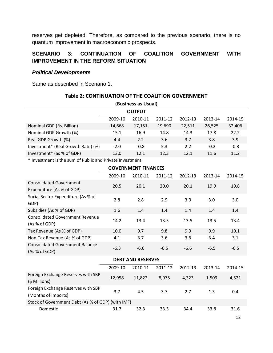reserves get depleted. Therefore, as compared to the previous scenario, there is no quantum improvement in macroeconomic prospects.

#### **SCENARIO 3: CONTINUATION OF COALITION GOVERNMENT WITH IMPROVEMENT IN THE REFORM SITUATION**

#### *Political Developments*

Same as described in Scenario 1.

| Table 2: CONTINUATION OF THE COALITION GOVERNMENT |         |                     |         |         |         |         |  |
|---------------------------------------------------|---------|---------------------|---------|---------|---------|---------|--|
|                                                   |         | (Business as Usual) |         |         |         |         |  |
|                                                   |         | <b>OUTPUT</b>       |         |         |         |         |  |
|                                                   | 2009-10 | 2010-11             | 2011-12 | 2012-13 | 2013-14 | 2014-15 |  |
| Nominal GDP (Rs. Billion)                         | 14,668  | 17,151              | 19,690  | 22,511  | 26,525  | 32,406  |  |
| Nominal GDP Growth (%)                            | 15.1    | 16.9                | 14.8    | 14.3    | 17.8    | 22.2    |  |
| Real GDP Growth (%)                               | 4.4     | 2.2                 | 3.6     | 3.7     | 3.8     | 3.9     |  |
| Investment* (Real Growth Rate) (%)                | $-2.0$  | $-0.8$              | 5.3     | 2.2     | $-0.2$  | $-0.3$  |  |
| Investment* (as % of GDP)                         | 13.0    | 12.1                | 12.3    | 12.1    | 11.6    | 11.2    |  |

\* Investment is the sum of Public and Private Investment.

| <b>GOVERNMENT FINANCES</b>                                  |         |                          |         |         |         |         |
|-------------------------------------------------------------|---------|--------------------------|---------|---------|---------|---------|
|                                                             | 2009-10 | 2010-11                  | 2011-12 | 2012-13 | 2013-14 | 2014-15 |
| <b>Consolidated Government</b><br>Expenditure (As % of GDP) | 20.5    | 20.1                     | 20.0    | 20.1    | 19.9    | 19.8    |
| Social Sector Expenditure (As % of<br>GDP)                  | 2.8     | 2.8                      | 2.9     | 3.0     | 3.0     | 3.0     |
| Subsidies (As % of GDP)                                     | 1.6     | 1.4                      | 1.4     | 1.4     | 1.4     | 1.4     |
| <b>Consolidated Government Revenue</b><br>(As % of GDP)     | 14.2    | 13.4                     | 13.5    | 13.5    | 13.5    | 13.4    |
| Tax Revenue (As % of GDP)                                   | 10.0    | 9.7                      | 9.8     | 9.9     | 9.9     | 10.1    |
| Non-Tax Revenue (As % of GDP)                               | 4.1     | 3.7                      | 3.6     | 3.6     | 3.4     | 3.1     |
| <b>Consolidated Government Balance</b><br>(As % of GDP)     | $-6.3$  | $-6.6$                   | $-6.5$  | $-6.6$  | $-6.5$  | $-6.5$  |
|                                                             |         | <b>DEBT AND RESERVES</b> |         |         |         |         |
|                                                             | 2009-10 | 2010-11                  | 2011-12 | 2012-13 | 2013-14 | 2014-15 |
| Foreign Exchange Reserves with SBP<br>(\$ Millions)         | 12,958  | 11,822                   | 8,975   | 4,323   | 1,509   | 4,521   |
| Foreign Exchange Reserves with SBP<br>(Months of Imports)   | 3.7     | 4.5                      | 3.7     | 2.7     | 1.3     | 0.4     |
| Stock of Government Debt (As % of GDP) (with IMF)           |         |                          |         |         |         |         |
| Domestic                                                    | 31.7    | 32.3                     | 33.5    | 34.4    | 33.8    | 31.6    |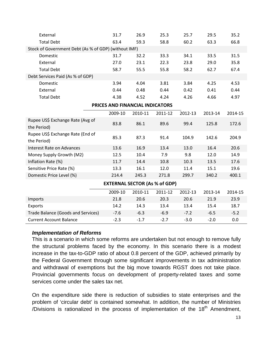| External                                             | 31.7                            | 26.9    | 25.3    | 25.7    | 29.5    | 35.2    |  |
|------------------------------------------------------|---------------------------------|---------|---------|---------|---------|---------|--|
| <b>Total Debt</b>                                    | 63.4                            | 59.3    | 58.8    | 60.2    | 63.3    | 66.8    |  |
| Stock of Government Debt (As % of GDP) (without IMF) |                                 |         |         |         |         |         |  |
| Domestic                                             | 31.7                            | 32.2    | 33.3    | 34.1    | 33.5    | 31.5    |  |
| External                                             | 27.0                            | 23.1    | 22.3    | 23.8    | 29.0    | 35.8    |  |
| <b>Total Debt</b>                                    | 58.7                            | 55.5    | 55.8    | 58.2    | 62.7    | 67.4    |  |
| Debt Services Paid (As % of GDP)                     |                                 |         |         |         |         |         |  |
| Domestic                                             | 3.94                            | 4.04    | 3.81    | 3.84    | 4.25    | 4.53    |  |
| External                                             | 0.44                            | 0.48    | 0.44    | 0.42    | 0.41    | 0.44    |  |
| <b>Total Debt</b>                                    | 4.38                            | 4.52    | 4.24    | 4.26    | 4.66    | 4.97    |  |
|                                                      | PRICES AND FINANCIAL INDICATORS |         |         |         |         |         |  |
|                                                      | 2009-10                         | 2010-11 | 2011-12 | 2012-13 | 2013-14 | 2014-15 |  |
| Rupee US\$ Exchange Rate (Avg of<br>the Period)      | 83.8                            | 86.1    | 89.6    | 99.4    | 125.8   | 172.6   |  |
| Rupee US\$ Exchange Rate (End of<br>the Period)      | 85.3                            | 87.3    | 91.4    | 104.9   | 142.6   | 204.9   |  |
| <b>Interest Rate on Advances</b>                     | 13.6                            | 16.9    | 13.4    | 13.0    | 16.4    | 20.6    |  |
| Money Supply Growth (M2)                             | 12.5                            | 10.4    | 7.9     | 9.8     | 12.0    | 14.9    |  |
| Inflation Rate (%)                                   | 11.7                            | 14.4    | 10.8    | 10.3    | 13.5    | 17.6    |  |
| Sensitive Price Rate (%)                             | 13.3                            | 16.1    | 12.0    | 11.4    | 15.1    | 19.6    |  |
| Domestic Price Level (%)                             | 214.4                           | 245.3   | 271.8   | 299.7   | 340.2   | 400.1   |  |
| <b>EXTERNAL SECTOR (As % of GDP)</b>                 |                                 |         |         |         |         |         |  |
|                                                      | 2009-10                         | 2010-11 | 2011-12 | 2012-13 | 2013-14 | 2014-15 |  |
| Imports                                              | 21.8                            | 20.6    | 20.3    | 20.6    | 21.9    | 23.9    |  |
| Exports                                              | 14.2                            | 14.3    | 13.4    | 13.4    | 15.4    | 18.7    |  |
| Trade Balance (Goods and Services)                   | $-7.6$                          | $-6.3$  | $-6.9$  | $-7.2$  | $-6.5$  | $-5.2$  |  |
| <b>Current Account Balance</b>                       | $-2.3$                          | $-1.7$  | $-2.7$  | $-3.0$  | $-2.0$  | 0.0     |  |

#### *Implementation of Reforms*

This is a scenario in which some reforms are undertaken but not enough to remove fully the structural problems faced by the economy. In this scenario there is a modest increase in the tax-to-GDP ratio of about 0.8 percent of the GDP, achieved primarily by the Federal Government through some significant improvements in tax administration and withdrawal of exemptions but the big move towards RGST does not take place. Provincial governments focus on development of property-related taxes and some services come under the sales tax net.

On the expenditure side there is reduction of subsidies to state enterprises and the problem of 'circular debt' is contained somewhat. In addition, the number of Ministries /Divisions is rationalized in the process of implementation of the  $18<sup>th</sup>$  Amendment,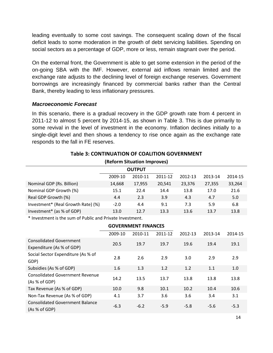leading eventually to some cost savings. The consequent scaling down of the fiscal deficit leads to some moderation in the growth of debt servicing liabilities. Spending on social sectors as a percentage of GDP, more or less, remain stagnant over the period.

On the external front, the Government is able to get some extension in the period of the on-going SBA with the IMF. However, external aid inflows remain limited and the exchange rate adjusts to the declining level of foreign exchange reserves. Government borrowings are increasingly financed by commercial banks rather than the Central Bank, thereby leading to less inflationary pressures.

#### *Macroeconomic Forecast*

In this scenario, there is a gradual recovery in the GDP growth rate from 4 percent in 2011-12 to almost 5 percent by 2014-15, as shown in Table 3. This is due primarily to some revival in the level of investment in the economy. Inflation declines initially to a single-digit level and then shows a tendency to rise once again as the exchange rate responds to the fall in FE reserves.

| (Reform Situation Improves)        |         |               |         |         |         |         |  |
|------------------------------------|---------|---------------|---------|---------|---------|---------|--|
|                                    |         | <b>OUTPUT</b> |         |         |         |         |  |
|                                    | 2009-10 | 2010-11       | 2011-12 | 2012-13 | 2013-14 | 2014-15 |  |
| Nominal GDP (Rs. Billion)          | 14,668  | 17,955        | 20,541  | 23,376  | 27,355  | 33,264  |  |
| Nominal GDP Growth (%)             | 15.1    | 22.4          | 14.4    | 13.8    | 17.0    | 21.6    |  |
| Real GDP Growth (%)                | 4.4     | 2.3           | 3.9     | 4.3     | 4.7     | 5.0     |  |
| Investment* (Real Growth Rate) (%) | $-2.0$  | 4.4           | 9.1     | 7.3     | 5.9     | 6.8     |  |
| Investment* (as % of GDP)          | 13.0    | 12.7          | 13.3    | 13.6    | 13.7    | 13.8    |  |

#### **Table 3: CONTINUATION OF COALITION GOVERNMENT**

\* Investment is the sum of Public and Private Investment.

|                                                             |         | <b>GOVERNMENT FINANCES</b> |         |         |         |         |
|-------------------------------------------------------------|---------|----------------------------|---------|---------|---------|---------|
|                                                             | 2009-10 | 2010-11                    | 2011-12 | 2012-13 | 2013-14 | 2014-15 |
| <b>Consolidated Government</b><br>Expenditure (As % of GDP) | 20.5    | 19.7                       | 19.7    | 19.6    | 19.4    | 19.1    |
| Social Sector Expenditure (As % of<br>GDP)                  | 2.8     | 2.6                        | 2.9     | 3.0     | 2.9     | 2.9     |
| Subsidies (As % of GDP)                                     | 1.6     | 1.3                        | 1.2     | 1.2     | 1.1     | 1.0     |
| <b>Consolidated Government Revenue</b><br>(As % of GDP)     | 14.2    | 13.5                       | 13.7    | 13.8    | 13.8    | 13.8    |
| Tax Revenue (As % of GDP)                                   | 10.0    | 9.8                        | 10.1    | 10.2    | 10.4    | 10.6    |
| Non-Tax Revenue (As % of GDP)                               | 4.1     | 3.7                        | 3.6     | 3.6     | 3.4     | 3.1     |
| <b>Consolidated Government Balance</b><br>(As % of GDP)     | $-6.3$  | $-6.2$                     | $-5.9$  | $-5.8$  | $-5.6$  | $-5.3$  |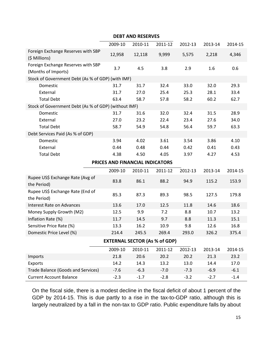| <b>DEBT AND RESERVES</b>                                  |         |                                 |         |         |         |         |  |
|-----------------------------------------------------------|---------|---------------------------------|---------|---------|---------|---------|--|
|                                                           | 2009-10 | 2010-11                         | 2011-12 | 2012-13 | 2013-14 | 2014-15 |  |
| Foreign Exchange Reserves with SBP<br>(\$ Millions)       | 12,958  | 12,118                          | 9,999   | 5,575   | 2,218   | 4,346   |  |
| Foreign Exchange Reserves with SBP<br>(Months of Imports) | 3.7     | 4.5                             | 3.8     | 2.9     | 1.6     | 0.6     |  |
| Stock of Government Debt (As % of GDP) (with IMF)         |         |                                 |         |         |         |         |  |
| Domestic                                                  | 31.7    | 31.7                            | 32.4    | 33.0    | 32.0    | 29.3    |  |
| External                                                  | 31.7    | 27.0                            | 25.4    | 25.3    | 28.1    | 33.4    |  |
| <b>Total Debt</b>                                         | 63.4    | 58.7                            | 57.8    | 58.2    | 60.2    | 62.7    |  |
| Stock of Government Debt (As % of GDP) (without IMF)      |         |                                 |         |         |         |         |  |
| Domestic                                                  | 31.7    | 31.6                            | 32.0    | 32.4    | 31.5    | 28.9    |  |
| External                                                  | 27.0    | 23.2                            | 22.4    | 23.4    | 27.6    | 34.0    |  |
| <b>Total Debt</b>                                         | 58.7    | 54.9                            | 54.8    | 56.4    | 59.7    | 63.3    |  |
| Debt Services Paid (As % of GDP)                          |         |                                 |         |         |         |         |  |
| Domestic                                                  | 3.94    | 4.02                            | 3.61    | 3.54    | 3.86    | 4.10    |  |
| External                                                  | 0.44    | 0.48                            | 0.44    | 0.42    | 0.41    | 0.43    |  |
| <b>Total Debt</b>                                         | 4.38    | 4.50                            | 4.05    | 3.97    | 4.27    | 4.53    |  |
|                                                           |         | PRICES AND FINANCIAL INDICATORS |         |         |         |         |  |
|                                                           | 2009-10 | 2010-11                         | 2011-12 | 2012-13 | 2013-14 | 2014-15 |  |
| Rupee US\$ Exchange Rate (Avg of<br>the Period)           | 83.8    | 86.1                            | 88.2    | 94.9    | 115.2   | 153.9   |  |
| Rupee US\$ Exchange Rate (End of<br>the Period)           | 85.3    | 87.3                            | 89.3    | 98.5    | 127.5   | 179.8   |  |
| <b>Interest Rate on Advances</b>                          | 13.6    | 17.0                            | 12.5    | 11.8    | 14.6    | 18.6    |  |
| Money Supply Growth (M2)                                  | 12.5    | 9.9                             | 7.2     | 8.8     | 10.7    | 13.2    |  |
| Inflation Rate (%)                                        | 11.7    | 14.5                            | 9.7     | 8.8     | 11.3    | 15.1    |  |
| Sensitive Price Rate (%)                                  | 13.3    | 16.2                            | 10.9    | 9.8     | 12.6    | 16.8    |  |
| Domestic Price Level (%)                                  | 214.4   | 245.5                           | 269.4   | 293.0   | 326.2   | 375.4   |  |
| <b>EXTERNAL SECTOR (As % of GDP)</b>                      |         |                                 |         |         |         |         |  |
|                                                           | 2009-10 | 2010-11                         | 2011-12 | 2012-13 | 2013-14 | 2014-15 |  |
| Imports                                                   | 21.8    | 20.6                            | 20.2    | 20.2    | 21.3    | 23.2    |  |
| Exports                                                   | 14.2    | 14.3                            | 13.2    | 13.0    | 14.4    | 17.0    |  |
| Trade Balance (Goods and Services)                        | $-7.6$  | $-6.3$                          | $-7.0$  | $-7.3$  | $-6.9$  | $-6.1$  |  |
| <b>Current Account Balance</b>                            | $-2.3$  | $-1.7$                          | $-2.8$  | $-3.2$  | $-2.7$  | $-1.4$  |  |

On the fiscal side, there is a modest decline in the fiscal deficit of about 1 percent of the GDP by 2014-15. This is due partly to a rise in the tax-to-GDP ratio, although this is largely neutralized by a fall in the non-tax to GDP ratio. Public expenditure falls by about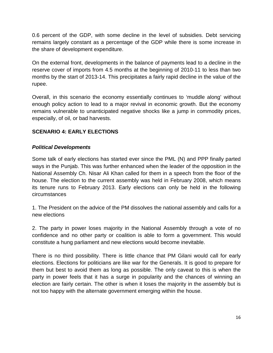0.6 percent of the GDP, with some decline in the level of subsidies. Debt servicing remains largely constant as a percentage of the GDP while there is some increase in the share of development expenditure.

On the external front, developments in the balance of payments lead to a decline in the reserve cover of imports from 4.5 months at the beginning of 2010-11 to less than two months by the start of 2013-14. This precipitates a fairly rapid decline in the value of the rupee.

Overall, in this scenario the economy essentially continues to 'muddle along' without enough policy action to lead to a major revival in economic growth. But the economy remains vulnerable to unanticipated negative shocks like a jump in commodity prices, especially, of oil, or bad harvests.

#### **SCENARIO 4: EARLY ELECTIONS**

#### *Political Developments*

Some talk of early elections has started ever since the PML (N) and PPP finally parted ways in the Punjab. This was further enhanced when the leader of the opposition in the National Assembly Ch. Nisar Ali Khan called for them in a speech from the floor of the house. The election to the current assembly was held in February 2008, which means its tenure runs to February 2013. Early elections can only be held in the following circumstances

1. The President on the advice of the PM dissolves the national assembly and calls for a new elections

2. The party in power loses majority in the National Assembly through a vote of no confidence and no other party or coalition is able to form a government. This would constitute a hung parliament and new elections would become inevitable.

There is no third possibility. There is little chance that PM Gilani would call for early elections. Elections for politicians are like war for the Generals. It is good to prepare for them but best to avoid them as long as possible. The only caveat to this is when the party in power feels that it has a surge in popularity and the chances of winning an election are fairly certain. The other is when it loses the majority in the assembly but is not too happy with the alternate government emerging within the house.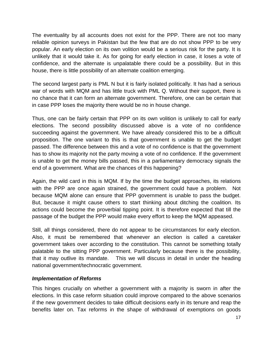The eventuality by all accounts does not exist for the PPP. There are not too many reliable opinion surveys in Pakistan but the few that are do not show PPP to be very popular. An early election on its own volition would be a serious risk for the party. It is unlikely that it would take it. As for going for early election in case, it loses a vote of confidence, and the alternate is unpalatable there could be a possibility. But in this house, there is little possibility of an alternate coalition emerging.

The second largest party is PML N but it is fairly isolated politically. It has had a serious war of words with MQM and has little truck with PML Q. Without their support, there is no chance that it can form an alternate government. Therefore, one can be certain that in case PPP loses the majority there would be no in house change.

Thus, one can be fairly certain that PPP on its own volition is unlikely to call for early elections. The second possibility discussed above is a vote of no confidence succeeding against the government. We have already considered this to be a difficult proposition. The one variant to this is that government is unable to get the budget passed. The difference between this and a vote of no confidence is that the government has to show its majority not the party moving a vote of no confidence. If the government is unable to get the money bills passed, this in a parliamentary democracy signals the end of a government. What are the chances of this happening?

Again, the wild card in this is MQM. If by the time the budget approaches, its relations with the PPP are once again strained, the government could have a problem. Not because MQM alone can ensure that PPP government is unable to pass the budget. But, because it might cause others to start thinking about ditching the coalition. Its actions could become the proverbial tipping point. It is therefore expected that till the passage of the budget the PPP would make every effort to keep the MQM appeased.

Still, all things considered, there do not appear to be circumstances for early election. Also, it must be remembered that whenever an election is called a caretaker government takes over according to the constitution. This cannot be something totally palatable to the sitting PPP government. Particularly because there is the possibility, that it may outlive its mandate. This we will discuss in detail in under the heading national government/technocratic government.

#### *Implementation of Reforms*

This hinges crucially on whether a government with a majority is sworn in after the elections. In this case reform situation could improve compared to the above scenarios if the new government decides to take difficult decisions early in its tenure and reap the benefits later on. Tax reforms in the shape of withdrawal of exemptions on goods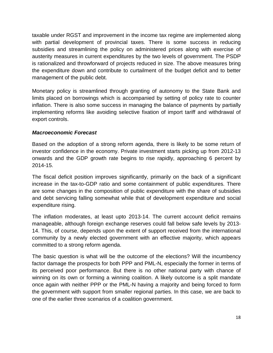taxable under RGST and improvement in the income tax regime are implemented along with partial development of provincial taxes. There is some success in reducing subsidies and streamlining the policy on administered prices along with exercise of austerity measures in current expenditures by the two levels of government. The PSDP is rationalized and throwforward of projects reduced in size. The above measures bring the expenditure down and contribute to curtailment of the budget deficit and to better management of the public debt.

Monetary policy is streamlined through granting of autonomy to the State Bank and limits placed on borrowings which is accompanied by setting of policy rate to counter inflation. There is also some success in managing the balance of payments by partially implementing reforms like avoiding selective fixation of import tariff and withdrawal of export controls.

#### *Macroeconomic Forecast*

Based on the adoption of a strong reform agenda, there is likely to be some return of investor confidence in the economy. Private investment starts picking up from 2012-13 onwards and the GDP growth rate begins to rise rapidly, approaching 6 percent by 2014-15.

The fiscal deficit position improves significantly, primarily on the back of a significant increase in the tax-to-GDP ratio and some containment of public expenditures. There are some changes in the composition of public expenditure with the share of subsidies and debt servicing falling somewhat while that of development expenditure and social expenditure rising.

The inflation moderates, at least upto 2013-14. The current account deficit remains manageable, although foreign exchange reserves could fall below safe levels by 2013- 14. This, of course, depends upon the extent of support received from the international community by a newly elected government with an effective majority, which appears committed to a strong reform agenda.

The basic question is what will be the outcome of the elections? Will the incumbency factor damage the prospects for both PPP and PML-N, especially the former in terms of its perceived poor performance. But there is no other national party with chance of winning on its own or forming a winning coalition. A likely outcome is a split mandate once again with neither PPP or the PML-N having a majority and being forced to form the government with support from smaller regional parties. In this case, we are back to one of the earlier three scenarios of a coalition government.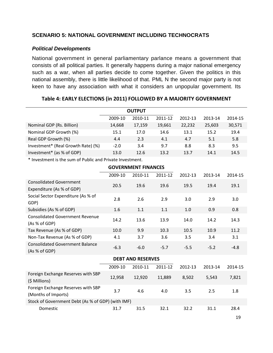#### **SCENARIO 5: NATIONAL GOVERNMENT INCLUDING TECHNOCRATS**

#### *Political Developments*

National government in general parliamentary parlance means a government that consists of all political parties. It generally happens during a major national emergency such as a war, when all parties decide to come together. Given the politics in this national assembly, there is little likelihood of that. PML N the second major party is not keen to have any association with what it considers an unpopular government. Its

|                                    | <b>OUTPUT</b> |         |         |         |         |         |
|------------------------------------|---------------|---------|---------|---------|---------|---------|
|                                    | 2009-10       | 2010-11 | 2011-12 | 2012-13 | 2013-14 | 2014-15 |
| Nominal GDP (Rs. Billion)          | 14,668        | 17,159  | 19,661  | 22,232  | 25,603  | 30,571  |
| Nominal GDP Growth (%)             | 15.1          | 17.0    | 14.6    | 13.1    | 15.2    | 19.4    |
| Real GDP Growth (%)                | 4.4           | 2.3     | 4.1     | 4.7     | 5.1     | 5.8     |
| Investment* (Real Growth Rate) (%) | $-2.0$        | 3.4     | 9.7     | 8.8     | 8.3     | 9.5     |
| Investment* (as % of GDP)          | 13.0          | 12.6    | 13.2    | 13.7    | 14.1    | 14.5    |

**Table 4: EARLY ELECTIONS (in 2011) FOLLOWED BY A MAJORITY GOVERNMENT**

\* Investment is the sum of Public and Private Investment.

|                                                             |         | <b>GOVERNMENT FINANCES</b> |         |         |         |         |
|-------------------------------------------------------------|---------|----------------------------|---------|---------|---------|---------|
|                                                             | 2009-10 | 2010-11                    | 2011-12 | 2012-13 | 2013-14 | 2014-15 |
| <b>Consolidated Government</b><br>Expenditure (As % of GDP) | 20.5    | 19.6                       | 19.6    | 19.5    | 19.4    | 19.1    |
| Social Sector Expenditure (As % of<br>GDP)                  | 2.8     | 2.6                        | 2.9     | 3.0     | 2.9     | 3.0     |
| Subsidies (As % of GDP)                                     | 1.6     | 1.1                        | 1.1     | 1.0     | 0.9     | 0.8     |
| <b>Consolidated Government Revenue</b><br>(As % of GDP)     | 14.2    | 13.6                       | 13.9    | 14.0    | 14.2    | 14.3    |
| Tax Revenue (As % of GDP)                                   | 10.0    | 9.9                        | 10.3    | 10.5    | 10.9    | 11.2    |
| Non-Tax Revenue (As % of GDP)                               | 4.1     | 3.7                        | 3.6     | 3.5     | 3.4     | 3.1     |
| <b>Consolidated Government Balance</b><br>(As % of GDP)     | $-6.3$  | $-6.0$                     | $-5.7$  | $-5.5$  | $-5.2$  | $-4.8$  |
|                                                             |         | <b>DEBT AND RESERVES</b>   |         |         |         |         |
|                                                             | 2009-10 | 2010-11                    | 2011-12 | 2012-13 | 2013-14 | 2014-15 |
| Foreign Exchange Reserves with SBP<br>(\$ Millions)         | 12,958  | 12,920                     | 11,889  | 8,502   | 5,543   | 7,821   |
| Foreign Exchange Reserves with SBP<br>(Months of Imports)   | 3.7     | 4.6                        | 4.0     | 3.5     | 2.5     | 1.8     |
| Stock of Government Debt (As % of GDP) (with IMF)           |         |                            |         |         |         |         |
| Domestic                                                    | 31.7    | 31.5                       | 32.1    | 32.2    | 31.1    | 28.4    |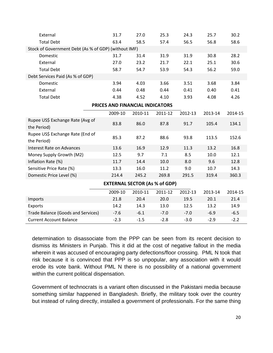| External                                             | 31.7                            | 27.0    | 25.3    | 24.3    | 25.7    | 30.2    |  |  |
|------------------------------------------------------|---------------------------------|---------|---------|---------|---------|---------|--|--|
| <b>Total Debt</b>                                    | 63.4                            | 58.5    | 57.4    | 56.5    | 56.8    | 58.6    |  |  |
| Stock of Government Debt (As % of GDP) (without IMF) |                                 |         |         |         |         |         |  |  |
| Domestic                                             | 31.7                            | 31.4    | 31.9    | 31.9    | 30.8    | 28.2    |  |  |
| External                                             | 27.0                            | 23.2    | 21.7    | 22.1    | 25.1    | 30.6    |  |  |
| <b>Total Debt</b>                                    | 58.7                            | 54.7    | 53.9    | 54.3    | 56.2    | 59.0    |  |  |
| Debt Services Paid (As % of GDP)                     |                                 |         |         |         |         |         |  |  |
| Domestic                                             | 3.94                            | 4.03    | 3.66    | 3.51    | 3.68    | 3.84    |  |  |
| External                                             | 0.44                            | 0.48    | 0.44    | 0.41    | 0.40    | 0.41    |  |  |
| <b>Total Debt</b>                                    | 4.38                            | 4.52    | 4.10    | 3.93    | 4.08    | 4.26    |  |  |
|                                                      | PRICES AND FINANCIAL INDICATORS |         |         |         |         |         |  |  |
|                                                      | 2009-10                         | 2010-11 | 2011-12 | 2012-13 | 2013-14 | 2014-15 |  |  |
| Rupee US\$ Exchange Rate (Avg of<br>the Period)      | 83.8                            | 86.0    | 87.8    | 91.7    | 105.4   | 134.1   |  |  |
| Rupee US\$ Exchange Rate (End of<br>the Period)      | 85.3                            | 87.2    | 88.6    | 93.8    | 113.5   | 152.6   |  |  |
| <b>Interest Rate on Advances</b>                     | 13.6                            | 16.9    | 12.9    | 11.3    | 13.2    | 16.8    |  |  |
| Money Supply Growth (M2)                             | 12.5                            | 9.7     | 7.1     | 8.5     | 10.0    | 12.1    |  |  |
| Inflation Rate (%)                                   | 11.7                            | 14.4    | 10.0    | 8.0     | 9.6     | 12.8    |  |  |
| Sensitive Price Rate (%)                             | 13.3                            | 16.0    | 11.2    | 9.0     | 10.7    | 14.3    |  |  |
| Domestic Price Level (%)                             | 214.4                           | 245.2   | 269.8   | 291.5   | 319.4   | 360.3   |  |  |
| <b>EXTERNAL SECTOR (As % of GDP)</b>                 |                                 |         |         |         |         |         |  |  |
|                                                      | 2009-10                         | 2010-11 | 2011-12 | 2012-13 | 2013-14 | 2014-15 |  |  |
| Imports                                              | 21.8                            | 20.4    | 20.0    | 19.5    | 20.1    | 21.4    |  |  |
| Exports                                              | 14.2                            | 14.3    | 13.0    | 12.5    | 13.2    | 14.9    |  |  |
| Trade Balance (Goods and Services)                   | $-7.6$                          | $-6.1$  | $-7.0$  | $-7.0$  | $-6.9$  | $-6.5$  |  |  |
| <b>Current Account Balance</b>                       | $-2.3$                          | $-1.5$  | $-2.8$  | $-3.0$  | $-2.9$  | $-2.2$  |  |  |

determination to disassociate from the PPP can be seen from its recent decision to dismiss its Ministers in Punjab. This it did at the cost of negative fallout in the media wherein it was accused of encouraging party defections/floor crossing. PML N took that risk because it is convinced that PPP is so unpopular, any association with it would erode its vote bank. Without PML N there is no possibility of a national government within the current political dispensation.

Government of technocrats is a variant often discussed in the Pakistani media because something similar happened in Bangladesh. Briefly, the military took over the country but instead of ruling directly, installed a government of professionals. For the same thing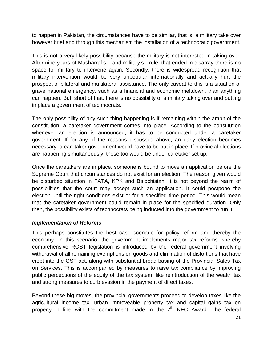to happen in Pakistan, the circumstances have to be similar, that is, a military take over however brief and through this mechanism the installation of a technocratic government.

This is not a very likely possibility because the military is not interested in taking over. After nine years of Musharraf's – and military's - rule, that ended in disarray there is no space for military to intervene again. Secondly, there is widespread recognition that military intervention would be very unpopular internationally and actually hurt the prospect of bilateral and multilateral assistance. The only caveat to this is a situation of grave national emergency, such as a financial and economic meltdown, than anything can happen. But, short of that, there is no possibility of a military taking over and putting in place a government of technocrats.

The only possibility of any such thing happening is if remaining within the ambit of the constitution, a caretaker government comes into place. According to the constitution whenever an election is announced, it has to be conducted under a caretaker government. If for any of the reasons discussed above, an early election becomes necessary, a caretaker government would have to be put in place. If provincial elections are happening simultaneously, these too would be under caretaker set up.

Once the caretakers are in place, someone is bound to move an application before the Supreme Court that circumstances do not exist for an election. The reason given would be disturbed situation in FATA, KPK and Balochistan. It is not beyond the realm of possibilities that the court may accept such an application. It could postpone the election until the right conditions exist or for a specified time period. This would mean that the caretaker government could remain in place for the specified duration. Only then, the possibility exists of technocrats being inducted into the government to run it.

#### *Implementation of Reforms*

This perhaps constitutes the best case scenario for policy reform and thereby the economy. In this scenario, the government implements major tax reforms whereby comprehensive RGST legislation is introduced by the federal government involving withdrawal of all remaining exemptions on goods and elimination of distortions that have crept into the GST act, along with substantial broad-basing of the Provincial Sales Tax on Services. This is accompanied by measures to raise tax compliance by improving public perceptions of the equity of the tax system, like reintroduction of the wealth tax and strong measures to curb evasion in the payment of direct taxes.

Beyond these big moves, the provincial governments proceed to develop taxes like the agricultural income tax, urban immoveable property tax and capital gains tax on property in line with the commitment made in the  $7<sup>th</sup>$  NFC Award. The federal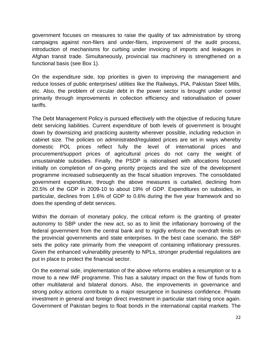government focuses on measures to raise the quality of tax administration by strong campaigns against non-filers and under-filers, improvement of the audit process, introduction of mechanisms for curbing under invoicing of imports and leakages in Afghan transit trade. Simultaneously, provincial tax machinery is strengthened on a functional basis (see Box 1).

On the expenditure side, top priorities is given to improving the management and reduce losses of public enterprises/ utilities like the Railways, PIA, Pakistan Steel Mills, etc. Also, the problem of circular debt in the power sector is brought under control primarily through improvements in collection efficiency and rationalisation of power tariffs.

The Debt Management Policy is pursued effectively with the objective of reducing future debt servicing liabilities. Current expenditure of both levels of government is brought down by downsizing and practicing austerity wherever possible, including reduction in cabinet size. The policies on administrated/regulated prices are set in ways whereby domestic POL prices reflect fully the level of international prices and procurement/support prices of agricultural prices do not carry the weight of unsustainable subsidies. Finally, the PSDP is rationalised with allocations focused initially on completion of on-going priority projects and the size of the development programme increased subsequently as the fiscal situation improves. The consolidated government expenditure, through the above measures is curtailed, declining from 20.5% of the GDP in 2009-10 to about 19% of GDP. Expenditures on subsidies, in particular, declines from 1.6% of GDP to 0.6% during the five year framework and so does the spending of debt services.

Within the domain of monetary policy, the critical reform is the granting of greater autonomy to SBP under the new act, so as to limit the inflationary borrowing of the federal government from the central bank and to rigidly enforce the overdraft limits on the provincial governments and state enterprises. In the best case scenario, the SBP sets the policy rate primarily from the viewpoint of containing inflationary pressures. Given the enhanced vulnerability presently to NPLs, stronger prudential regulations are put in place to protect the financial sector.

On the external side, implementation of the above reforms enables a resumption or to a move to a new IMF programme. This has a salutary impact on the flow of funds from other multilateral and bilateral donors. Also, the improvements in governance and strong policy actions contribute to a major resurgence in business confidence. Private investment in general and foreign direct investment in particular start rising once again. Government of Pakistan begins to float bonds in the international capital markets. The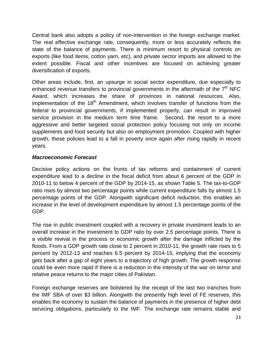Central bank also adopts a policy of non-intervention in the foreign exchange market. The real effective exchange rate, consequently, more or less accurately reflects the state of the balance of payments. There is minimum resort to physical controls on exports (like food items, cotton yarn, etc), and private sector imports are allowed to the extent possible. Fiscal and other incentives are focused on achieving greater diversification of exports.

Other areas include, first, an upsurge in social sector expenditure, due especially to enhanced revenue transfers to provincial governments in the aftermath of the  $7<sup>th</sup>$  NFC Award, which increases the share of provinces in national resources. Also, implementation of the 18<sup>th</sup> Amendment, which involves transfer of functions from the federal to provincial governments, if implemented properly, can result in improved service provision in the medium term time frame. Second, the resort to a more aggressive and better targeted social protection policy focusing not only on income supplements and food security but also on employment promotion. Coupled with higher growth, these policies lead to a fall in poverty once again after rising rapidly in recent years.

#### *Macroeconomic Forecast*

Decisive policy actions on the fronts of tax reforms and containment of current expenditure lead to a decline in the fiscal deficit from about 6 percent of the GDP in 2010-11 to below 4 percent of the GDP by 2014-15, as shown Table 5. The tax-to-GDP ratio rises by almost two percentage points while current expenditure falls by almost 1.5 percentage points of the GDP. Alongwith significant deficit reduction, this enables an increase in the level of development expenditure by almost 1.5 percentage points of the GDP.

The rise in public investment coupled with a recovery in private investment leads to an overall increase in the investment to GDP ratio by over 2.5 percentage points. There is a visible revival in the process or economic growth after the damage inflicted by the floods. From a GDP growth rate close to 2 percent in 2010-11, the growth rate rises to 5 percent by 2012-13 and reaches 6.5 percent by 2014-15, implying that the economy gets back after a gap of eight years to a trajectory of high growth. The growth response could be even more rapid if there is a reduction in the intensity of the war on terror and relative peace returns to the major cities of Pakistan.

Foreign exchange reserves are bolstered by the receipt of the last two tranches from the IMF SBA of over \$3 billion. Alongwith the presently high level of FE reserves, this enables the economy to sustain the balance of payments in the presence of higher debt servicing obligations, particularly to the IMF. The exchange rate remains stable and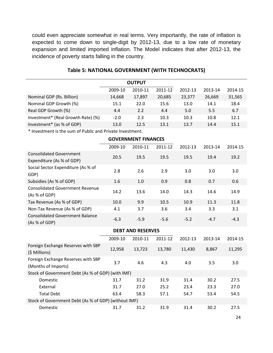could even appreciate somewhat in real terms. Very importantly, the rate of inflation is expected to come down to single-digit by 2012-13, due to a low rate of monetary expansion and limited imported inflation. The Model indicates that after 2012-13, the incidence of poverty starts falling in the country.

| <b>OUTPUT</b>                                               |         |                          |         |         |         |         |  |  |
|-------------------------------------------------------------|---------|--------------------------|---------|---------|---------|---------|--|--|
|                                                             | 2009-10 | 2010-11                  | 2011-12 | 2012-13 | 2013-14 | 2014-15 |  |  |
| Nominal GDP (Rs. Billion)                                   | 14,668  | 17,897                   | 20,685  | 23,377  | 26,669  | 31,565  |  |  |
| Nominal GDP Growth (%)                                      | 15.1    | 22.0                     | 15.6    | 13.0    | 14.1    | 18.4    |  |  |
| Real GDP Growth (%)                                         | 4.4     | 2.2                      | 4.4     | 5.0     | 5.5     | 6.7     |  |  |
| Investment* (Real Growth Rate) (%)                          | $-2.0$  | 2.3                      | 10.3    | 10.3    | 10.8    | 12.1    |  |  |
| Investment* (as % of GDP)                                   | 13.0    | 12.5                     | 13.1    | 13.7    | 14.4    | 15.1    |  |  |
| * Investment is the sum of Public and Private Investment.   |         |                          |         |         |         |         |  |  |
| <b>GOVERNMENT FINANCES</b>                                  |         |                          |         |         |         |         |  |  |
|                                                             | 2009-10 | 2010-11                  | 2011-12 | 2012-13 | 2013-14 | 2014-15 |  |  |
| <b>Consolidated Government</b><br>Expenditure (As % of GDP) | 20.5    | 19.5                     | 19.5    | 19.5    | 19.4    | 19.2    |  |  |
| Social Sector Expenditure (As % of<br>GDP)                  | 2.8     | 2.6                      | 2.9     | 3.0     | 3.0     | 3.0     |  |  |
| Subsidies (As % of GDP)                                     | 1.6     | 1.0                      | 0.9     | 0.8     | 0.7     | 0.6     |  |  |
| <b>Consolidated Government Revenue</b><br>(As % of GDP)     | 14.2    | 13.6                     | 14.0    | 14.3    | 14.6    | 14.9    |  |  |
| Tax Revenue (As % of GDP)                                   | 10.0    | 9.9                      | 10.5    | 10.9    | 11.3    | 11.8    |  |  |
| Non-Tax Revenue (As % of GDP)                               | 4.1     | 3.7                      | 3.6     | 3.4     | 3.3     | 3.1     |  |  |
| <b>Consolidated Government Balance</b><br>(As % of GDP)     | $-6.3$  | $-5.9$                   | $-5.6$  | $-5.2$  | $-4.7$  | $-4.3$  |  |  |
|                                                             |         | <b>DEBT AND RESERVES</b> |         |         |         |         |  |  |
|                                                             | 2009-10 | 2010-11                  | 2011-12 | 2012-13 | 2013-14 | 2014-15 |  |  |
| Foreign Exchange Reserves with SBP<br>(\$ Millions)         | 12,958  | 13,723                   | 13,780  | 11,430  | 8,867   | 11,295  |  |  |
| Foreign Exchange Reserves with SBP<br>(Months of Imports)   | 3.7     | 4.6                      | 4.3     | 4.0     | 3.5     | 3.0     |  |  |
| Stock of Government Debt (As % of GDP) (with IMF)           |         |                          |         |         |         |         |  |  |
| Domestic                                                    | 31.7    | 31.2                     | 31.9    | 31.4    | 30.2    | 27.5    |  |  |
| External                                                    | 31.7    | 27.0                     | 25.2    | 23.4    | 23.3    | 27.0    |  |  |
| <b>Total Debt</b>                                           | 63.4    | 58.3                     | 57.1    | 54.7    | 53.4    | 54.5    |  |  |
| Stock of Government Debt (As % of GDP) (without IMF)        |         |                          |         |         |         |         |  |  |
| Domestic                                                    | 31.7    | 31.2                     | 31.9    | 31.4    | 30.2    | 27.5    |  |  |

#### **Table 5: NATIONAL GOVERNMENT (WITH TECHNOCRATS)**

24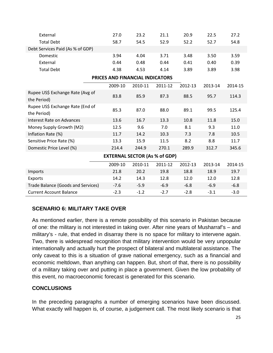| External                                        | 27.0                            | 23.2    | 21.1    | 20.9    | 22.5    | 27.2    |  |  |
|-------------------------------------------------|---------------------------------|---------|---------|---------|---------|---------|--|--|
| <b>Total Debt</b>                               | 58.7                            | 54.5    | 52.9    | 52.2    | 52.7    | 54.8    |  |  |
| Debt Services Paid (As % of GDP)                |                                 |         |         |         |         |         |  |  |
| Domestic                                        | 3.94                            | 4.04    | 3.71    | 3.48    | 3.50    | 3.59    |  |  |
| External                                        | 0.44                            | 0.48    | 0.44    | 0.41    | 0.40    | 0.39    |  |  |
| <b>Total Debt</b>                               | 4.38                            | 4.53    | 4.14    | 3.89    | 3.89    | 3.98    |  |  |
|                                                 | PRICES AND FINANCIAL INDICATORS |         |         |         |         |         |  |  |
|                                                 | 2009-10                         | 2010-11 | 2011-12 | 2012-13 | 2013-14 | 2014-15 |  |  |
| Rupee US\$ Exchange Rate (Avg of<br>the Period) | 83.8                            | 85.9    | 87.3    | 88.5    | 95.7    | 114.3   |  |  |
| Rupee US\$ Exchange Rate (End of<br>the Period) | 85.3                            | 87.0    | 88.0    | 89.1    | 99.5    | 125.4   |  |  |
| <b>Interest Rate on Advances</b>                | 13.6                            | 16.7    | 13.3    | 10.8    | 11.8    | 15.0    |  |  |
| Money Supply Growth (M2)                        | 12.5                            | 9.6     | 7.0     | 8.1     | 9.3     | 11.0    |  |  |
| Inflation Rate (%)                              | 11.7                            | 14.2    | 10.3    | 7.3     | 7.8     | 10.5    |  |  |
| Sensitive Price Rate (%)                        | 13.3                            | 15.9    | 11.5    | 8.2     | 8.8     | 11.7    |  |  |
| Domestic Price Level (%)                        | 214.4                           | 244.9   | 270.1   | 289.9   | 312.7   | 345.6   |  |  |
| <b>EXTERNAL SECTOR (As % of GDP)</b>            |                                 |         |         |         |         |         |  |  |
|                                                 | 2009-10                         | 2010-11 | 2011-12 | 2012-13 | 2013-14 | 2014-15 |  |  |
| Imports                                         | 21.8                            | 20.2    | 19.8    | 18.8    | 18.9    | 19.7    |  |  |
| Exports                                         | 14.2                            | 14.3    | 12.8    | 12.0    | 12.0    | 12.8    |  |  |
| Trade Balance (Goods and Services)              | $-7.6$                          | $-5.9$  | $-6.9$  | $-6.8$  | $-6.9$  | $-6.8$  |  |  |
| <b>Current Account Balance</b>                  | $-2.3$                          | $-1.2$  | $-2.7$  | $-2.8$  | $-3.1$  | $-3.0$  |  |  |

#### **SCENARIO 6: MILITARY TAKE OVER**

As mentioned earlier, there is a remote possibility of this scenario in Pakistan because of one: the military is not interested in taking over. After nine years of Musharraf's – and military's - rule, that ended in disarray there is no space for military to intervene again. Two, there is widespread recognition that military intervention would be very unpopular internationally and actually hurt the prospect of bilateral and multilateral assistance. The only caveat to this is a situation of grave national emergency, such as a financial and economic meltdown, than anything can happen. But, short of that, there is no possibility of a military taking over and putting in place a government. Given the low probability of this event, no macroeconomic forecast is generated for this scenario.

#### **CONCLUSIONS**

In the preceding paragraphs a number of emerging scenarios have been discussed. What exactly will happen is, of course, a judgement call. The most likely scenario is that